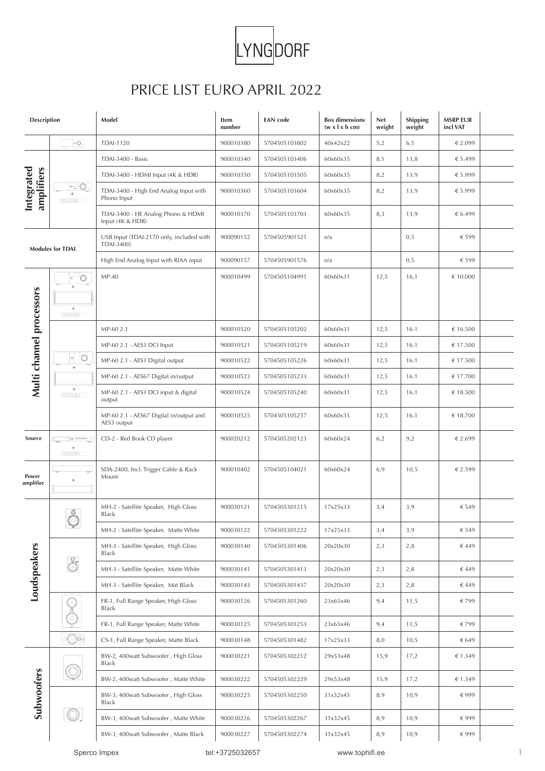

## PRICE LIST EURO APRIL 2022

| <b>Description</b>       |                                                             | Model                                                  | Item<br>number | <b>EAN</b> code | <b>Box dimensions</b><br>$(w \times l \times h \text{ cm})$ | <b>Net</b><br>weight | <b>Shipping</b><br>weight | <b>MSRP EUR</b><br>incl VAT |  |
|--------------------------|-------------------------------------------------------------|--------------------------------------------------------|----------------|-----------------|-------------------------------------------------------------|----------------------|---------------------------|-----------------------------|--|
| Integrated<br>amplifiers | $\circ$ O.                                                  | <b>TDAI-1120</b>                                       | 900010380      | 5704505103802   | 40x42x22                                                    | 5,2                  | 6, 5                      | € 2.099                     |  |
|                          | $\circ$ $\circ$ .<br>$^{+}$<br>【 調査の提供 】                    | TDAI-3400 - Basic                                      | 900010340      | 5704505103406   | 60x60x35                                                    | 8,1                  | 13,8                      | € 5.499                     |  |
|                          |                                                             | TDAI-3400 - HDMI Input (4K & HDR)                      | 900010350      | 5704505103505   | 60x60x35                                                    | 8,2                  | 13,9                      | € 5.999                     |  |
|                          |                                                             | TDAI-3400 - High End Analog Input with<br>Phono Input  | 900010360      | 5704505103604   | 60x60x35                                                    | 8,2                  | 13,9                      | € 5.999                     |  |
|                          |                                                             | TDAI-3400 - HE Analog Phono & HDMI<br>Input (4K & HDR) | 900010370      | 5704505103703   | 60x60x35                                                    | 8,3                  | 13,9                      | € 6.499                     |  |
| <b>Modules for TDAI</b>  |                                                             | USB Input (TDAI-2170 only, included with<br>TDAI-3400) | 900090152      | 5704505901521   | n/a                                                         |                      | 0, 5                      | € 599                       |  |
|                          |                                                             | High End Analog Input with RIAA input                  | 900090157      | 5704505901576   | n/a                                                         |                      | 0, 5                      | € 599                       |  |
| Multi channel processors | $\circ$<br>$\circ$<br>$+$<br>$^+$<br>【無料の暮年】                | $MP-40$                                                | 900010499      | 5704505104991   | 60x60x31                                                    | 12,5                 | 16,1                      | € 10.000                    |  |
|                          |                                                             | MP-60 2.1                                              | 900010520      | 5704505105202   | 60x60x31                                                    | 12,5                 | 16.1                      | € 16.500                    |  |
|                          | $^\circ$<br>$\circ$                                         | MP-60 2.1 - AES3 DCI Input                             | 900010521      | 5704505105219   | 60x60x31                                                    | 12,5                 | 16.1                      | € 17.500                    |  |
|                          |                                                             | MP-60 2.1 - AES3 Digital output                        | 900010522      | 5704505105226   | 60x60x31                                                    | 12,5                 | 16.1                      | € 17.500                    |  |
|                          | $+$                                                         | MP-60 2.1 - AES67 Digital in/output                    | 900010523      | 5704505105233   | 60x60x31                                                    | 12,5                 | 16.1                      | € 17.700                    |  |
|                          | $+$<br>( 第1038 )                                            | MP-60 2.1 - AES3 DCI input & digital<br>output         | 900010524      | 5704505105240   | 60x60x31                                                    | 12,5                 | 16.1                      | € 18.500                    |  |
|                          |                                                             | MP-60 2.1 - AES67 Digital in/output and<br>AES3 output | 900010525      | 5704505105257   | 60x60x31                                                    | 12,5                 | 16.1                      | € 18.700                    |  |
| Source                   | $\circ$ $\circ$<br>₹<br>$^+$<br><b>【 第108#】</b>             | CD-2 - Red Book CD player                              | 900020212      | 5704505202123   | 60x60x24                                                    | 6,2                  | 9,2                       | € 2.699                     |  |
| Power<br>amplifier       | $+$                                                         | SDA-2400, Incl. Trigger Cable & Rack<br>Mount          | 900010402      | 5704505104021   | 60x60x24                                                    | 6,9                  | 10,5                      | € 2.599                     |  |
|                          | $\frac{\partial}{\partial \theta}$<br>$\blacktriangleright$ | MH-2 - Satellite Speaker, High Gloss<br><b>Black</b>   | 900030121      | 5704505301215   | 17x25x33                                                    | 3,4                  | 3,9                       | € 549                       |  |
|                          |                                                             | MH-2 - Satellite Speaker, Matte White                  | 900030122      | 5704505301222   | 17x25x33                                                    | 3,4                  | 3,9                       | € 549                       |  |
|                          | 8                                                           | MH-3 - Satellite Speaker, High Gloss<br><b>Black</b>   | 900030140      | 5704505301406   | 20x20x30                                                    | 2,3                  | 2,8                       | € 449                       |  |
| <b>Loudspeakers</b>      |                                                             | MH-3 - Satellite Speaker, Matte White                  | 900030141      | 5704505301413   | 20x20x30                                                    | 2,3                  | 2,8                       | €449                        |  |
|                          |                                                             | MH-3 - Satellite Speaker, Mat Black                    | 900030143      | 5704505301437   | 20x20x30                                                    | 2,3                  | 2,8                       | € 449                       |  |
|                          | Ş                                                           | FR-1, Full Range Speaker, High Gloss<br><b>Black</b>   | 900030126      | 5704505301260   | 23x65x46                                                    | 9,4                  | 11,5                      | €799                        |  |
|                          |                                                             | FR-1, Full Range Speaker, Matte White                  | 900030125      | 5704505301253   | 23x65x46                                                    | 9,4                  | 11,5                      | €799                        |  |
|                          | $\overline{\bigcirc}$                                       | CS-1, Full Range Speaker, Matte Black                  | 900030148      | 5704505301482   | 17x25x33                                                    | 8,0                  | 10,5                      | € 649                       |  |
| Subwoofers               |                                                             | BW-2, 400watt Subwoofer, High Gloss<br><b>Black</b>    | 900030221      | 5704505302212   | 29x53x48                                                    | 15,9                 | 17,2                      | €1.349                      |  |
|                          |                                                             | BW-2, 400watt Subwoofer, Matte White                   | 900030222      | 5704505302229   | 29x53x48                                                    | 15,9                 | 17,2                      | €1.349                      |  |
|                          |                                                             | BW-3, 400watt Subwoofer, High Gloss<br>Black           | 900030225      | 5704505302250   | 31x32x45                                                    | 8,9                  | 10,9                      | €999                        |  |
|                          |                                                             | BW-3, 400watt Subwoofer, Matte White                   | 900030226      | 5704505302267   | 31x32x45                                                    | 8,9                  | 10,9                      | €999                        |  |
|                          |                                                             | BW-3, 400watt Subwoofer, Matte Black                   | 900030227      | 5704505302274   | 31x32x45                                                    | 8,9                  | 10,9                      | €999                        |  |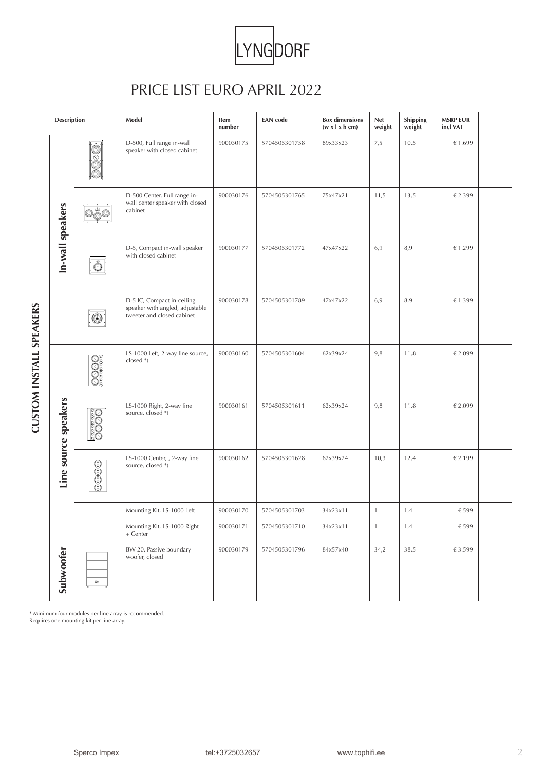

## PRICE LIST EURO APRIL 2022

|                         | <b>Description</b>   |                                           | Model                                                                                       | Item<br>number | <b>EAN</b> code | <b>Box dimensions</b><br>$(w \times l \times h \text{ cm})$ | <b>Net</b><br>weight | Shipping<br>weight | <b>MSRP EUR</b><br>incl VAT |  |
|-------------------------|----------------------|-------------------------------------------|---------------------------------------------------------------------------------------------|----------------|-----------------|-------------------------------------------------------------|----------------------|--------------------|-----------------------------|--|
| CUSTOM INSTALL SPEAKERS | In-wall speakers     | $\odot$                                   | D-500, Full range in-wall<br>speaker with closed cabinet                                    | 900030175      | 5704505301758   | 89x33x23                                                    | 7,5                  | 10,5               | €1.699                      |  |
|                         |                      |                                           | D-500 Center, Full range in-<br>wall center speaker with closed<br>cabinet                  | 900030176      | 5704505301765   | 75x47x21                                                    | 11,5                 | 13,5               | € 2.399                     |  |
|                         |                      | $ \mathring{\circ} $                      | D-5, Compact in-wall speaker<br>with closed cabinet                                         | 900030177      | 5704505301772   | 47x47x22                                                    | 6,9                  | 8,9                | €1.299                      |  |
|                         |                      |                                           | D-5 IC, Compact in-ceiling<br>speaker with angled, adjustable<br>tweeter and closed cabinet | 900030178      | 5704505301789   | 47x47x22                                                    | 6,9                  | 8,9                | €1.399                      |  |
|                         | Line source speakers | <b>OOOO</b>                               | LS-1000 Left, 2-way line source,<br>$closed *$ )                                            | 900030160      | 5704505301604   | 62x39x24                                                    | 9,8                  | 11,8               | € 2.099                     |  |
|                         |                      | <u>းဝ</u><br>Θ                            | LS-1000 Right, 2-way line<br>source, closed *)                                              | 900030161      | 5704505301611   | 62x39x24                                                    | 9,8                  | 11,8               | € 2.099                     |  |
|                         |                      | 03000000                                  | LS-1000 Center, , 2-way line<br>source, closed *)                                           | 900030162      | 5704505301628   | 62x39x24                                                    | 10,3                 | 12,4               | € 2.199                     |  |
|                         |                      |                                           | Mounting Kit, LS-1000 Left                                                                  | 900030170      | 5704505301703   | 34x23x11                                                    | $\mathbf{1}$         | 1,4                | € 599                       |  |
|                         |                      |                                           | Mounting Kit, LS-1000 Right<br>+ Center                                                     | 900030171      | 5704505301710   | 34x23x11                                                    | $\mathbf{1}$         | 1,4                | € 599                       |  |
|                         | Subwoofer            | $\blacksquare$                            | BW-20, Passive boundary<br>woofer, closed                                                   | 900030179      | 5704505301796   | 84x57x40                                                    | 34,2                 | 38,5               | € 3.599                     |  |
|                         |                      | Requires one mounting kit per line array. | * Minimum four modules per line array is recommended.                                       |                |                 |                                                             |                      |                    |                             |  |